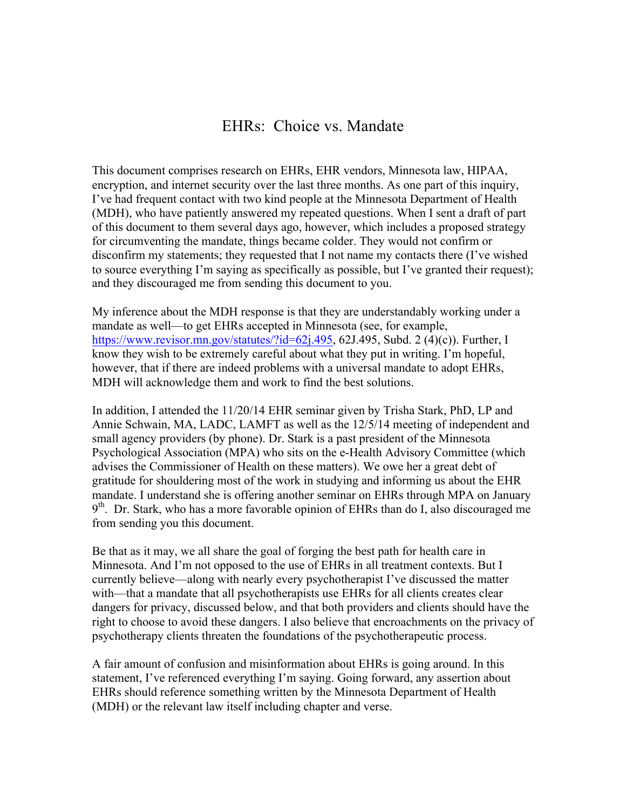## EHRs: Choice vs. Mandate

This document comprises research on EHRs, EHR vendors, Minnesota law, HIPAA, encryption, and internet security over the last three months. As one part of this inquiry, I've had frequent contact with two kind people at the Minnesota Department of Health (MDH), who have patiently answered my repeated questions. When I sent a draft of part of this document to them several days ago, however, which includes a proposed strategy for circumventing the mandate, things became colder. They would not confirm or disconfirm my statements; they requested that I not name my contacts there (I've wished to source everything I'm saying as specifically as possible, but I've granted their request); and they discouraged me from sending this document to you.

My inference about the MDH response is that they are understandably working under a mandate as well—to get EHRs accepted in Minnesota (see, for example, https://www.revisor.mn.gov/statutes/?id=62j.495, 62J.495, Subd. 2 (4)(c)). Further, I know they wish to be extremely careful about what they put in writing. I'm hopeful, however, that if there are indeed problems with a universal mandate to adopt EHRs, MDH will acknowledge them and work to find the best solutions.

In addition, I attended the 11/20/14 EHR seminar given by Trisha Stark, PhD, LP and Annie Schwain, MA, LADC, LAMFT as well as the 12/5/14 meeting of independent and small agency providers (by phone). Dr. Stark is a past president of the Minnesota Psychological Association (MPA) who sits on the e-Health Advisory Committee (which advises the Commissioner of Health on these matters). We owe her a great debt of gratitude for shouldering most of the work in studying and informing us about the EHR mandate. I understand she is offering another seminar on EHRs through MPA on January  $9<sup>th</sup>$ . Dr. Stark, who has a more favorable opinion of EHRs than do I, also discouraged me from sending you this document.

Be that as it may, we all share the goal of forging the best path for health care in Minnesota. And I'm not opposed to the use of EHRs in all treatment contexts. But I currently believe—along with nearly every psychotherapist I've discussed the matter with—that a mandate that all psychotherapists use EHRs for all clients creates clear dangers for privacy, discussed below, and that both providers and clients should have the right to choose to avoid these dangers. I also believe that encroachments on the privacy of psychotherapy clients threaten the foundations of the psychotherapeutic process.

A fair amount of confusion and misinformation about EHRs is going around. In this statement, I've referenced everything I'm saying. Going forward, any assertion about EHRs should reference something written by the Minnesota Department of Health (MDH) or the relevant law itself including chapter and verse.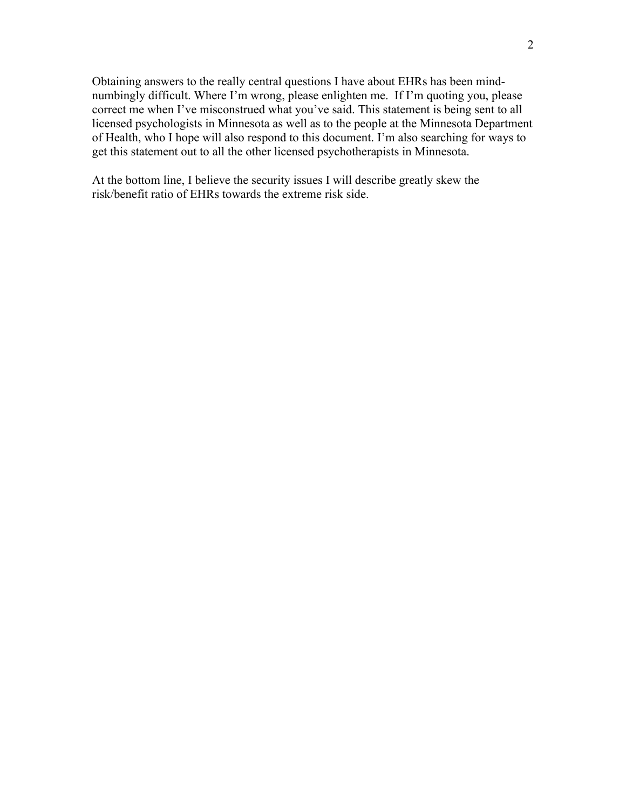Obtaining answers to the really central questions I have about EHRs has been mindnumbingly difficult. Where I'm wrong, please enlighten me. If I'm quoting you, please correct me when I've misconstrued what you've said. This statement is being sent to all licensed psychologists in Minnesota as well as to the people at the Minnesota Department of Health, who I hope will also respond to this document. I'm also searching for ways to get this statement out to all the other licensed psychotherapists in Minnesota.

At the bottom line, I believe the security issues I will describe greatly skew the risk/benefit ratio of EHRs towards the extreme risk side.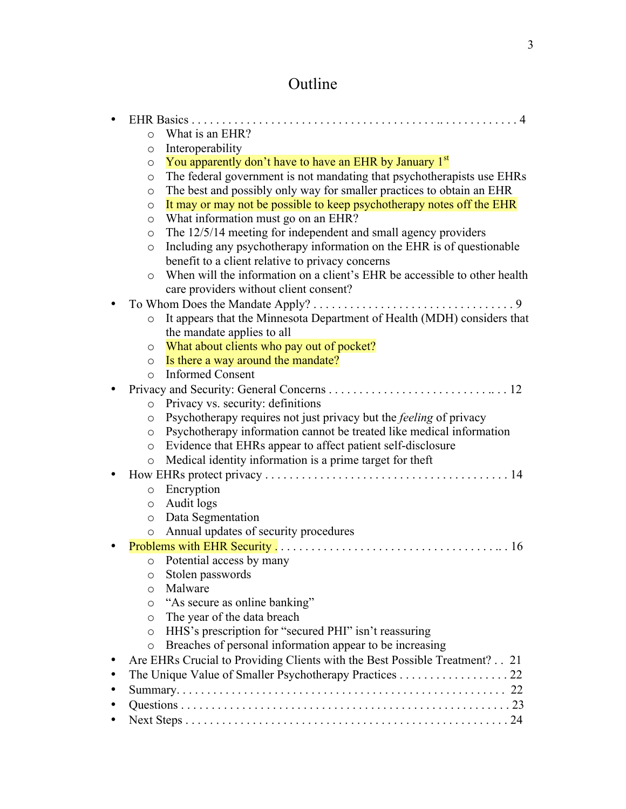# Outline

| What is an EHR?<br>$\circ$                                                           |
|--------------------------------------------------------------------------------------|
| Interoperability<br>$\circ$                                                          |
| You apparently don't have to have an EHR by January 1st<br>$\circ$                   |
| The federal government is not mandating that psychotherapists use EHRs<br>$\circ$    |
| The best and possibly only way for smaller practices to obtain an EHR<br>$\circ$     |
| It may or may not be possible to keep psychotherapy notes off the EHR<br>$\circ$     |
| What information must go on an EHR?<br>$\circ$                                       |
| The 12/5/14 meeting for independent and small agency providers<br>$\circ$            |
| Including any psychotherapy information on the EHR is of questionable<br>$\circ$     |
| benefit to a client relative to privacy concerns                                     |
| When will the information on a client's EHR be accessible to other health<br>$\circ$ |
| care providers without client consent?                                               |
|                                                                                      |
| It appears that the Minnesota Department of Health (MDH) considers that<br>$\circ$   |
| the mandate applies to all                                                           |
| What about clients who pay out of pocket?<br>$\circ$                                 |
| Is there a way around the mandate?<br>$\circ$                                        |
| <b>Informed Consent</b><br>$\circ$                                                   |
|                                                                                      |
| o Privacy vs. security: definitions                                                  |
| Psychotherapy requires not just privacy but the <i>feeling</i> of privacy<br>O       |
| Psychotherapy information cannot be treated like medical information<br>$\circ$      |
| Evidence that EHRs appear to affect patient self-disclosure<br>$\circ$               |
| Medical identity information is a prime target for theft<br>$\circ$                  |
|                                                                                      |
| Encryption<br>$\circ$                                                                |
| Audit logs<br>$\circ$                                                                |
| Data Segmentation<br>$\circ$                                                         |
| Annual updates of security procedures<br>$\circ$                                     |
|                                                                                      |
| Potential access by many<br>$\circ$                                                  |
| Stolen passwords<br>$\circ$<br>Malware                                               |
| $\circ$<br>"As secure as online banking"                                             |
| $\circ$<br>The year of the data breach<br>$\circ$                                    |
| HHS's prescription for "secured PHI" isn't reassuring<br>$\circ$                     |
| Breaches of personal information appear to be increasing<br>$\circ$                  |
| Are EHRs Crucial to Providing Clients with the Best Possible Treatment? 21           |
| The Unique Value of Smaller Psychotherapy Practices 22                               |
|                                                                                      |
|                                                                                      |
|                                                                                      |
|                                                                                      |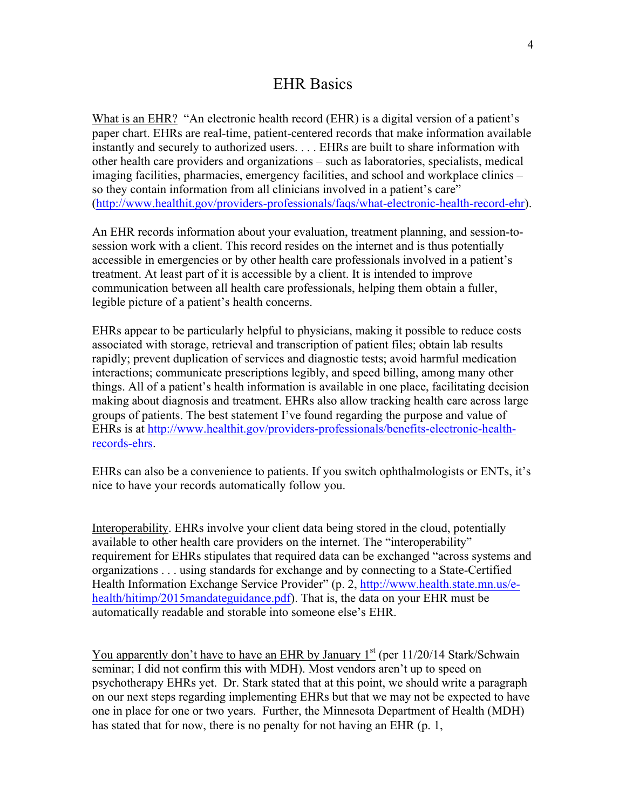## EHR Basics

What is an EHR? "An electronic health record (EHR) is a digital version of a patient's paper chart. EHRs are real-time, patient-centered records that make information available instantly and securely to authorized users. . . . EHRs are built to share information with other health care providers and organizations – such as laboratories, specialists, medical imaging facilities, pharmacies, emergency facilities, and school and workplace clinics – so they contain information from all clinicians involved in a patient's care" (http://www.healthit.gov/providers-professionals/faqs/what-electronic-health-record-ehr).

An EHR records information about your evaluation, treatment planning, and session-tosession work with a client. This record resides on the internet and is thus potentially accessible in emergencies or by other health care professionals involved in a patient's treatment. At least part of it is accessible by a client. It is intended to improve communication between all health care professionals, helping them obtain a fuller, legible picture of a patient's health concerns.

EHRs appear to be particularly helpful to physicians, making it possible to reduce costs associated with storage, retrieval and transcription of patient files; obtain lab results rapidly; prevent duplication of services and diagnostic tests; avoid harmful medication interactions; communicate prescriptions legibly, and speed billing, among many other things. All of a patient's health information is available in one place, facilitating decision making about diagnosis and treatment. EHRs also allow tracking health care across large groups of patients. The best statement I've found regarding the purpose and value of EHRs is at http://www.healthit.gov/providers-professionals/benefits-electronic-healthrecords-ehrs.

EHRs can also be a convenience to patients. If you switch ophthalmologists or ENTs, it's nice to have your records automatically follow you.

Interoperability. EHRs involve your client data being stored in the cloud, potentially available to other health care providers on the internet. The "interoperability" requirement for EHRs stipulates that required data can be exchanged "across systems and organizations . . . using standards for exchange and by connecting to a State-Certified Health Information Exchange Service Provider" (p. 2, http://www.health.state.mn.us/ehealth/hitimp/2015mandateguidance.pdf). That is, the data on your EHR must be automatically readable and storable into someone else's EHR.

You apparently don't have to have an EHR by January  $1<sup>st</sup>$  (per 11/20/14 Stark/Schwain seminar; I did not confirm this with MDH). Most vendors aren't up to speed on psychotherapy EHRs yet. Dr. Stark stated that at this point, we should write a paragraph on our next steps regarding implementing EHRs but that we may not be expected to have one in place for one or two years. Further, the Minnesota Department of Health (MDH) has stated that for now, there is no penalty for not having an EHR (p. 1,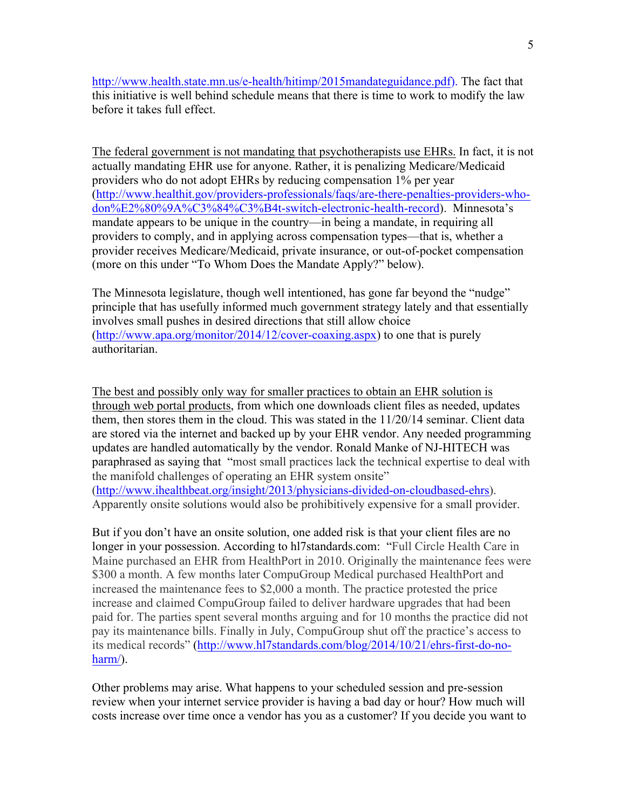http://www.health.state.mn.us/e-health/hitimp/2015mandateguidance.pdf). The fact that this initiative is well behind schedule means that there is time to work to modify the law before it takes full effect.

The federal government is not mandating that psychotherapists use EHRs. In fact, it is not actually mandating EHR use for anyone. Rather, it is penalizing Medicare/Medicaid providers who do not adopt EHRs by reducing compensation 1% per year (http://www.healthit.gov/providers-professionals/faqs/are-there-penalties-providers-whodon%E2%80%9A%C3%84%C3%B4t-switch-electronic-health-record). Minnesota's mandate appears to be unique in the country—in being a mandate, in requiring all providers to comply, and in applying across compensation types—that is, whether a provider receives Medicare/Medicaid, private insurance, or out-of-pocket compensation (more on this under "To Whom Does the Mandate Apply?" below).

The Minnesota legislature, though well intentioned, has gone far beyond the "nudge" principle that has usefully informed much government strategy lately and that essentially involves small pushes in desired directions that still allow choice (http://www.apa.org/monitor/2014/12/cover-coaxing.aspx) to one that is purely authoritarian.

The best and possibly only way for smaller practices to obtain an EHR solution is through web portal products, from which one downloads client files as needed, updates them, then stores them in the cloud. This was stated in the 11/20/14 seminar. Client data are stored via the internet and backed up by your EHR vendor. Any needed programming updates are handled automatically by the vendor. Ronald Manke of NJ-HITECH was paraphrased as saying that "most small practices lack the technical expertise to deal with the manifold challenges of operating an EHR system onsite" (http://www.ihealthbeat.org/insight/2013/physicians-divided-on-cloudbased-ehrs). Apparently onsite solutions would also be prohibitively expensive for a small provider.

But if you don't have an onsite solution, one added risk is that your client files are no longer in your possession. According to hl7standards.com: "Full Circle Health Care in Maine purchased an EHR from HealthPort in 2010. Originally the maintenance fees were \$300 a month. A few months later CompuGroup Medical purchased HealthPort and increased the maintenance fees to \$2,000 a month. The practice protested the price increase and claimed CompuGroup failed to deliver hardware upgrades that had been paid for. The parties spent several months arguing and for 10 months the practice did not pay its maintenance bills. Finally in July, CompuGroup shut off the practice's access to its medical records" (http://www.hl7standards.com/blog/2014/10/21/ehrs-first-do-noharm/).

Other problems may arise. What happens to your scheduled session and pre-session review when your internet service provider is having a bad day or hour? How much will costs increase over time once a vendor has you as a customer? If you decide you want to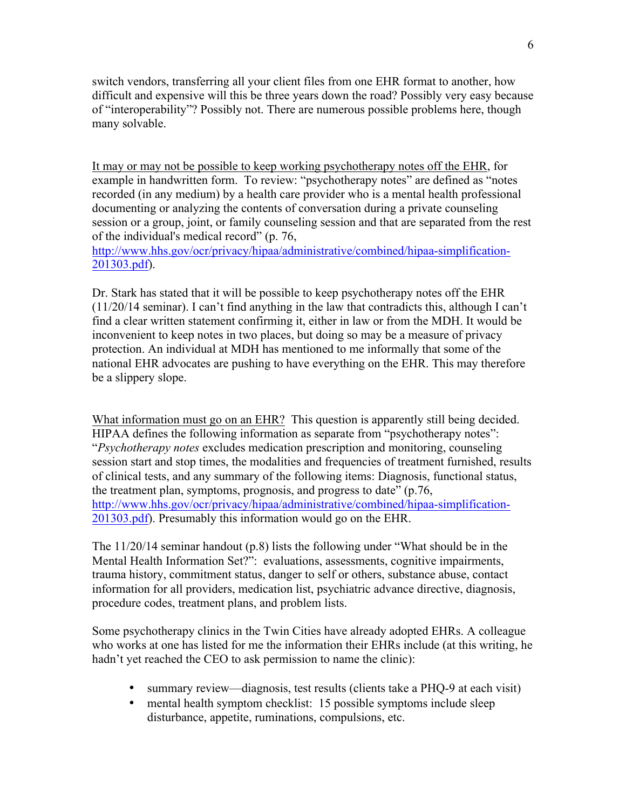switch vendors, transferring all your client files from one EHR format to another, how difficult and expensive will this be three years down the road? Possibly very easy because of "interoperability"? Possibly not. There are numerous possible problems here, though many solvable.

It may or may not be possible to keep working psychotherapy notes off the EHR, for example in handwritten form. To review: "psychotherapy notes" are defined as "notes" recorded (in any medium) by a health care provider who is a mental health professional documenting or analyzing the contents of conversation during a private counseling session or a group, joint, or family counseling session and that are separated from the rest of the individual's medical record" (p. 76,

http://www.hhs.gov/ocr/privacy/hipaa/administrative/combined/hipaa-simplification-201303.pdf).

Dr. Stark has stated that it will be possible to keep psychotherapy notes off the EHR (11/20/14 seminar). I can't find anything in the law that contradicts this, although I can't find a clear written statement confirming it, either in law or from the MDH. It would be inconvenient to keep notes in two places, but doing so may be a measure of privacy protection. An individual at MDH has mentioned to me informally that some of the national EHR advocates are pushing to have everything on the EHR. This may therefore be a slippery slope.

What information must go on an EHR? This question is apparently still being decided. HIPAA defines the following information as separate from "psychotherapy notes": "*Psychotherapy notes* excludes medication prescription and monitoring, counseling session start and stop times, the modalities and frequencies of treatment furnished, results of clinical tests, and any summary of the following items: Diagnosis, functional status, the treatment plan, symptoms, prognosis, and progress to date" (p.76, http://www.hhs.gov/ocr/privacy/hipaa/administrative/combined/hipaa-simplification-201303.pdf). Presumably this information would go on the EHR.

The 11/20/14 seminar handout (p.8) lists the following under "What should be in the Mental Health Information Set?": evaluations, assessments, cognitive impairments, trauma history, commitment status, danger to self or others, substance abuse, contact information for all providers, medication list, psychiatric advance directive, diagnosis, procedure codes, treatment plans, and problem lists.

Some psychotherapy clinics in the Twin Cities have already adopted EHRs. A colleague who works at one has listed for me the information their EHRs include (at this writing, he hadn't yet reached the CEO to ask permission to name the clinic):

- summary review—diagnosis, test results (clients take a PHQ-9 at each visit)
- mental health symptom checklist: 15 possible symptoms include sleep disturbance, appetite, ruminations, compulsions, etc.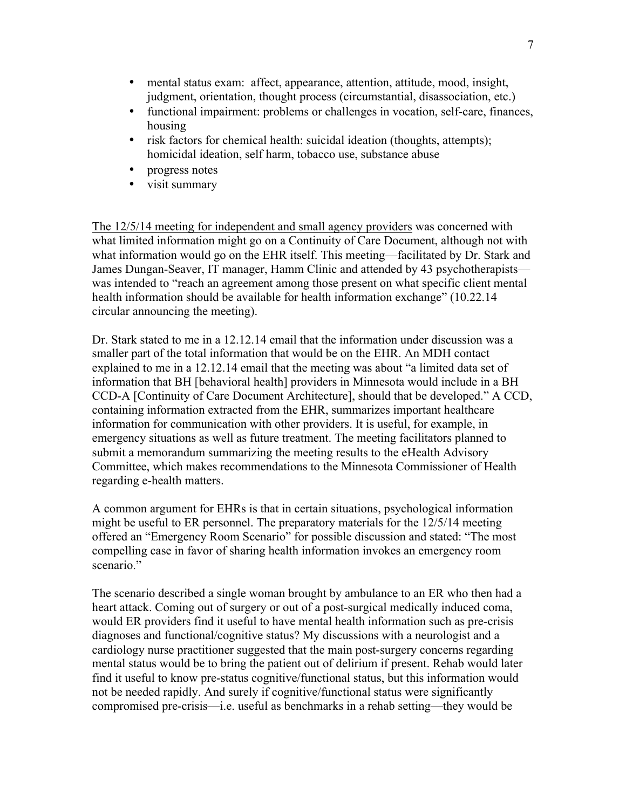- mental status exam: affect, appearance, attention, attitude, mood, insight, judgment, orientation, thought process (circumstantial, disassociation, etc.)
- functional impairment: problems or challenges in vocation, self-care, finances, housing
- risk factors for chemical health: suicidal ideation (thoughts, attempts); homicidal ideation, self harm, tobacco use, substance abuse
- progress notes
- visit summary

The 12/5/14 meeting for independent and small agency providers was concerned with what limited information might go on a Continuity of Care Document, although not with what information would go on the EHR itself. This meeting—facilitated by Dr. Stark and James Dungan-Seaver, IT manager, Hamm Clinic and attended by 43 psychotherapists was intended to "reach an agreement among those present on what specific client mental health information should be available for health information exchange" (10.22.14) circular announcing the meeting).

Dr. Stark stated to me in a 12.12.14 email that the information under discussion was a smaller part of the total information that would be on the EHR. An MDH contact explained to me in a 12.12.14 email that the meeting was about "a limited data set of information that BH [behavioral health] providers in Minnesota would include in a BH CCD-A [Continuity of Care Document Architecture], should that be developed." A CCD, containing information extracted from the EHR, summarizes important healthcare information for communication with other providers. It is useful, for example, in emergency situations as well as future treatment. The meeting facilitators planned to submit a memorandum summarizing the meeting results to the eHealth Advisory Committee, which makes recommendations to the Minnesota Commissioner of Health regarding e-health matters.

A common argument for EHRs is that in certain situations, psychological information might be useful to ER personnel. The preparatory materials for the 12/5/14 meeting offered an "Emergency Room Scenario" for possible discussion and stated: "The most compelling case in favor of sharing health information invokes an emergency room scenario."

The scenario described a single woman brought by ambulance to an ER who then had a heart attack. Coming out of surgery or out of a post-surgical medically induced coma, would ER providers find it useful to have mental health information such as pre-crisis diagnoses and functional/cognitive status? My discussions with a neurologist and a cardiology nurse practitioner suggested that the main post-surgery concerns regarding mental status would be to bring the patient out of delirium if present. Rehab would later find it useful to know pre-status cognitive/functional status, but this information would not be needed rapidly. And surely if cognitive/functional status were significantly compromised pre-crisis—i.e. useful as benchmarks in a rehab setting—they would be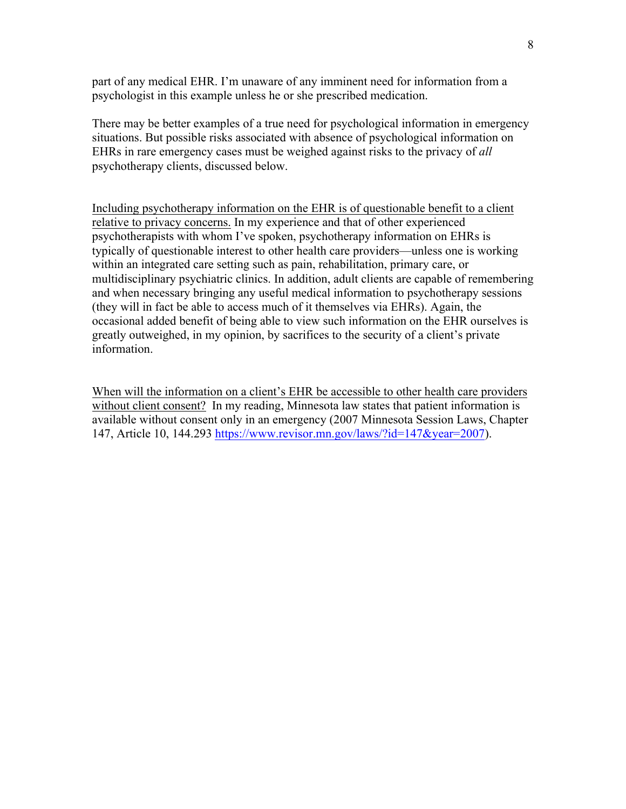part of any medical EHR. I'm unaware of any imminent need for information from a psychologist in this example unless he or she prescribed medication.

There may be better examples of a true need for psychological information in emergency situations. But possible risks associated with absence of psychological information on EHRs in rare emergency cases must be weighed against risks to the privacy of *all* psychotherapy clients, discussed below.

Including psychotherapy information on the EHR is of questionable benefit to a client relative to privacy concerns. In my experience and that of other experienced psychotherapists with whom I've spoken, psychotherapy information on EHRs is typically of questionable interest to other health care providers—unless one is working within an integrated care setting such as pain, rehabilitation, primary care, or multidisciplinary psychiatric clinics. In addition, adult clients are capable of remembering and when necessary bringing any useful medical information to psychotherapy sessions (they will in fact be able to access much of it themselves via EHRs). Again, the occasional added benefit of being able to view such information on the EHR ourselves is greatly outweighed, in my opinion, by sacrifices to the security of a client's private information.

When will the information on a client's EHR be accessible to other health care providers without client consent? In my reading, Minnesota law states that patient information is available without consent only in an emergency (2007 Minnesota Session Laws, Chapter 147, Article 10, 144.293 https://www.revisor.mn.gov/laws/?id=147&year=2007).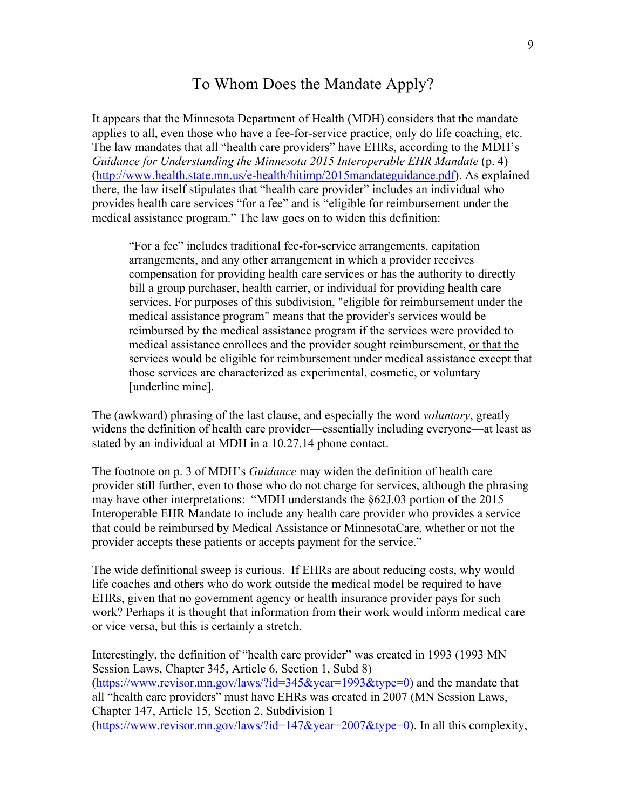### To Whom Does the Mandate Apply?

It appears that the Minnesota Department of Health (MDH) considers that the mandate applies to all, even those who have a fee-for-service practice, only do life coaching, etc. The law mandates that all "health care providers" have EHRs, according to the MDH's *Guidance for Understanding the Minnesota 2015 Interoperable EHR Mandate* (p. 4) (http://www.health.state.mn.us/e-health/hitimp/2015mandateguidance.pdf). As explained there, the law itself stipulates that "health care provider" includes an individual who provides health care services "for a fee" and is "eligible for reimbursement under the medical assistance program." The law goes on to widen this definition:

"For a fee" includes traditional fee-for-service arrangements, capitation arrangements, and any other arrangement in which a provider receives compensation for providing health care services or has the authority to directly bill a group purchaser, health carrier, or individual for providing health care services. For purposes of this subdivision, "eligible for reimbursement under the medical assistance program" means that the provider's services would be reimbursed by the medical assistance program if the services were provided to medical assistance enrollees and the provider sought reimbursement, or that the services would be eligible for reimbursement under medical assistance except that those services are characterized as experimental, cosmetic, or voluntary [underline mine].

The (awkward) phrasing of the last clause, and especially the word *voluntary*, greatly widens the definition of health care provider—essentially including everyone—at least as stated by an individual at MDH in a 10.27.14 phone contact.

The footnote on p. 3 of MDH's *Guidance* may widen the definition of health care provider still further, even to those who do not charge for services, although the phrasing may have other interpretations: "MDH understands the §62J.03 portion of the 2015 Interoperable EHR Mandate to include any health care provider who provides a service that could be reimbursed by Medical Assistance or MinnesotaCare, whether or not the provider accepts these patients or accepts payment for the service."

The wide definitional sweep is curious. If EHRs are about reducing costs, why would life coaches and others who do work outside the medical model be required to have EHRs, given that no government agency or health insurance provider pays for such work? Perhaps it is thought that information from their work would inform medical care or vice versa, but this is certainly a stretch.

Interestingly, the definition of "health care provider" was created in 1993 (1993 MN Session Laws, Chapter 345, Article 6, Section 1, Subd 8) (https://www.revisor.mn.gov/laws/?id=345&year=1993&type=0) and the mandate that all "health care providers" must have EHRs was created in 2007 (MN Session Laws, Chapter 147, Article 15, Section 2, Subdivision 1 (https://www.revisor.mn.gov/laws/?id=147&year=2007&type=0). In all this complexity,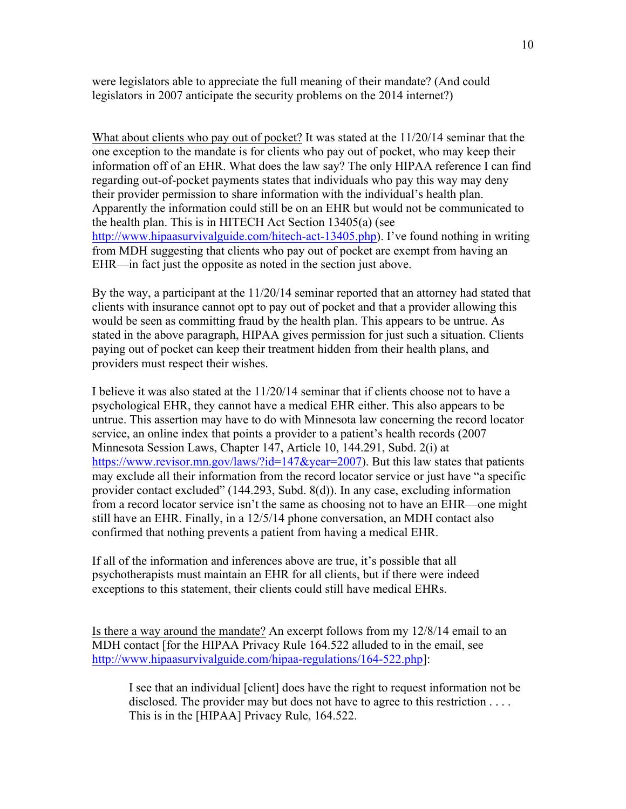were legislators able to appreciate the full meaning of their mandate? (And could legislators in 2007 anticipate the security problems on the 2014 internet?)

What about clients who pay out of pocket? It was stated at the 11/20/14 seminar that the one exception to the mandate is for clients who pay out of pocket, who may keep their information off of an EHR. What does the law say? The only HIPAA reference I can find regarding out-of-pocket payments states that individuals who pay this way may deny their provider permission to share information with the individual's health plan. Apparently the information could still be on an EHR but would not be communicated to the health plan. This is in HITECH Act Section 13405(a) (see http://www.hipaasurvivalguide.com/hitech-act-13405.php). I've found nothing in writing from MDH suggesting that clients who pay out of pocket are exempt from having an EHR—in fact just the opposite as noted in the section just above.

By the way, a participant at the 11/20/14 seminar reported that an attorney had stated that clients with insurance cannot opt to pay out of pocket and that a provider allowing this would be seen as committing fraud by the health plan. This appears to be untrue. As stated in the above paragraph, HIPAA gives permission for just such a situation. Clients paying out of pocket can keep their treatment hidden from their health plans, and providers must respect their wishes.

I believe it was also stated at the 11/20/14 seminar that if clients choose not to have a psychological EHR, they cannot have a medical EHR either. This also appears to be untrue. This assertion may have to do with Minnesota law concerning the record locator service, an online index that points a provider to a patient's health records (2007 Minnesota Session Laws, Chapter 147, Article 10, 144.291, Subd. 2(i) at https://www.revisor.mn.gov/laws/?id=147&year=2007). But this law states that patients may exclude all their information from the record locator service or just have "a specific provider contact excluded" (144.293, Subd. 8(d)). In any case, excluding information from a record locator service isn't the same as choosing not to have an EHR—one might still have an EHR. Finally, in a 12/5/14 phone conversation, an MDH contact also confirmed that nothing prevents a patient from having a medical EHR.

If all of the information and inferences above are true, it's possible that all psychotherapists must maintain an EHR for all clients, but if there were indeed exceptions to this statement, their clients could still have medical EHRs.

Is there a way around the mandate? An excerpt follows from my 12/8/14 email to an MDH contact [for the HIPAA Privacy Rule 164.522 alluded to in the email, see http://www.hipaasurvivalguide.com/hipaa-regulations/164-522.php]:

I see that an individual [client] does have the right to request information not be disclosed. The provider may but does not have to agree to this restriction . . . . This is in the [HIPAA] Privacy Rule, 164.522.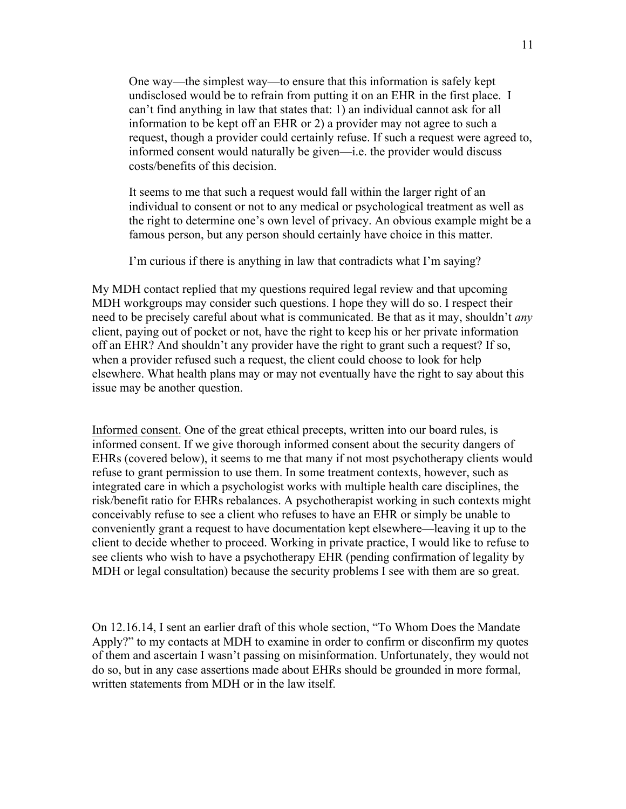One way—the simplest way—to ensure that this information is safely kept undisclosed would be to refrain from putting it on an EHR in the first place. I can't find anything in law that states that: 1) an individual cannot ask for all information to be kept off an EHR or 2) a provider may not agree to such a request, though a provider could certainly refuse. If such a request were agreed to, informed consent would naturally be given—i.e. the provider would discuss costs/benefits of this decision.

It seems to me that such a request would fall within the larger right of an individual to consent or not to any medical or psychological treatment as well as the right to determine one's own level of privacy. An obvious example might be a famous person, but any person should certainly have choice in this matter.

I'm curious if there is anything in law that contradicts what I'm saying?

My MDH contact replied that my questions required legal review and that upcoming MDH workgroups may consider such questions. I hope they will do so. I respect their need to be precisely careful about what is communicated. Be that as it may, shouldn't *any* client, paying out of pocket or not, have the right to keep his or her private information off an EHR? And shouldn't any provider have the right to grant such a request? If so, when a provider refused such a request, the client could choose to look for help elsewhere. What health plans may or may not eventually have the right to say about this issue may be another question.

Informed consent. One of the great ethical precepts, written into our board rules, is informed consent. If we give thorough informed consent about the security dangers of EHRs (covered below), it seems to me that many if not most psychotherapy clients would refuse to grant permission to use them. In some treatment contexts, however, such as integrated care in which a psychologist works with multiple health care disciplines, the risk/benefit ratio for EHRs rebalances. A psychotherapist working in such contexts might conceivably refuse to see a client who refuses to have an EHR or simply be unable to conveniently grant a request to have documentation kept elsewhere—leaving it up to the client to decide whether to proceed. Working in private practice, I would like to refuse to see clients who wish to have a psychotherapy EHR (pending confirmation of legality by MDH or legal consultation) because the security problems I see with them are so great.

On 12.16.14, I sent an earlier draft of this whole section, "To Whom Does the Mandate Apply?" to my contacts at MDH to examine in order to confirm or disconfirm my quotes of them and ascertain I wasn't passing on misinformation. Unfortunately, they would not do so, but in any case assertions made about EHRs should be grounded in more formal, written statements from MDH or in the law itself.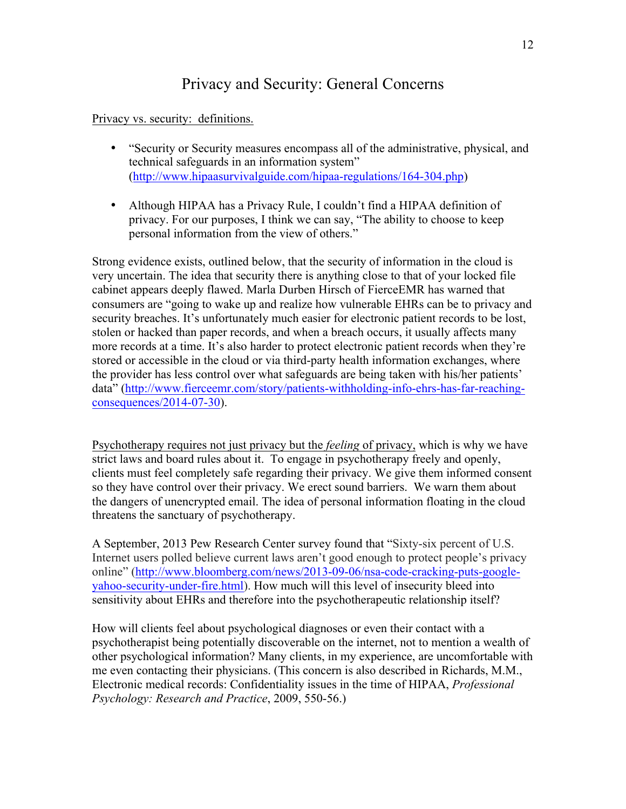## Privacy and Security: General Concerns

Privacy vs. security: definitions.

- "Security or Security measures encompass all of the administrative, physical, and technical safeguards in an information system" (http://www.hipaasurvivalguide.com/hipaa-regulations/164-304.php)
- Although HIPAA has a Privacy Rule, I couldn't find a HIPAA definition of privacy. For our purposes, I think we can say, "The ability to choose to keep personal information from the view of others."

Strong evidence exists, outlined below, that the security of information in the cloud is very uncertain. The idea that security there is anything close to that of your locked file cabinet appears deeply flawed. Marla Durben Hirsch of FierceEMR has warned that consumers are "going to wake up and realize how vulnerable EHRs can be to privacy and security breaches. It's unfortunately much easier for electronic patient records to be lost, stolen or hacked than paper records, and when a breach occurs, it usually affects many more records at a time. It's also harder to protect electronic patient records when they're stored or accessible in the cloud or via third-party health information exchanges, where the provider has less control over what safeguards are being taken with his/her patients' data" (http://www.fierceemr.com/story/patients-withholding-info-ehrs-has-far-reachingconsequences/2014-07-30).

Psychotherapy requires not just privacy but the *feeling* of privacy, which is why we have strict laws and board rules about it. To engage in psychotherapy freely and openly, clients must feel completely safe regarding their privacy. We give them informed consent so they have control over their privacy. We erect sound barriers. We warn them about the dangers of unencrypted email. The idea of personal information floating in the cloud threatens the sanctuary of psychotherapy.

A September, 2013 Pew Research Center survey found that "Sixty-six percent of U.S. Internet users polled believe current laws aren't good enough to protect people's privacy online" (http://www.bloomberg.com/news/2013-09-06/nsa-code-cracking-puts-googleyahoo-security-under-fire.html). How much will this level of insecurity bleed into sensitivity about EHRs and therefore into the psychotherapeutic relationship itself?

How will clients feel about psychological diagnoses or even their contact with a psychotherapist being potentially discoverable on the internet, not to mention a wealth of other psychological information? Many clients, in my experience, are uncomfortable with me even contacting their physicians. (This concern is also described in Richards, M.M., Electronic medical records: Confidentiality issues in the time of HIPAA, *Professional Psychology: Research and Practice*, 2009, 550-56.)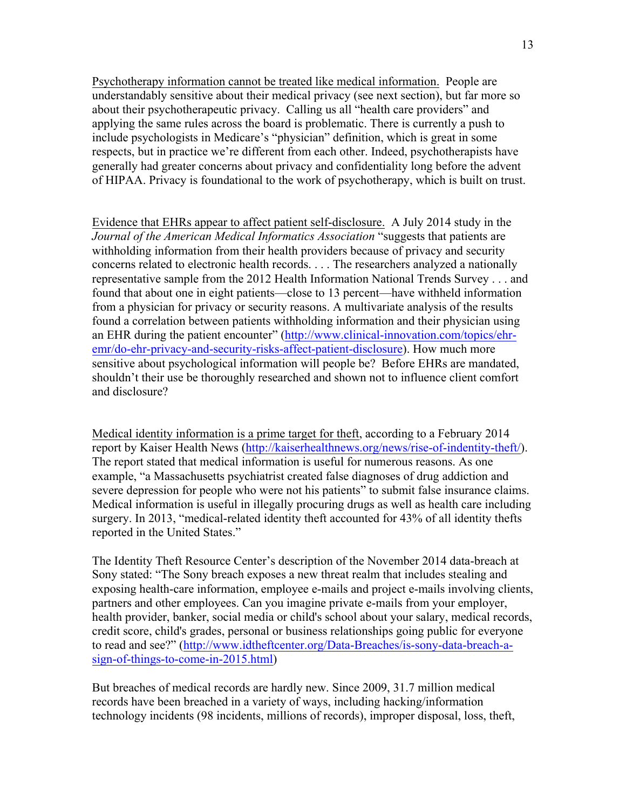Psychotherapy information cannot be treated like medical information. People are understandably sensitive about their medical privacy (see next section), but far more so about their psychotherapeutic privacy. Calling us all "health care providers" and applying the same rules across the board is problematic. There is currently a push to include psychologists in Medicare's "physician" definition, which is great in some respects, but in practice we're different from each other. Indeed, psychotherapists have generally had greater concerns about privacy and confidentiality long before the advent of HIPAA. Privacy is foundational to the work of psychotherapy, which is built on trust.

Evidence that EHRs appear to affect patient self-disclosure. A July 2014 study in the *Journal of the American Medical Informatics Association* "suggests that patients are withholding information from their health providers because of privacy and security concerns related to electronic health records. . . . The researchers analyzed a nationally representative sample from the 2012 Health Information National Trends Survey . . . and found that about one in eight patients—close to 13 percent—have withheld information from a physician for privacy or security reasons. A multivariate analysis of the results found a correlation between patients withholding information and their physician using an EHR during the patient encounter" (http://www.clinical-innovation.com/topics/ehremr/do-ehr-privacy-and-security-risks-affect-patient-disclosure). How much more sensitive about psychological information will people be? Before EHRs are mandated, shouldn't their use be thoroughly researched and shown not to influence client comfort and disclosure?

Medical identity information is a prime target for theft, according to a February 2014 report by Kaiser Health News (http://kaiserhealthnews.org/news/rise-of-indentity-theft/). The report stated that medical information is useful for numerous reasons. As one example, "a Massachusetts psychiatrist created false diagnoses of drug addiction and severe depression for people who were not his patients" to submit false insurance claims. Medical information is useful in illegally procuring drugs as well as health care including surgery. In 2013, "medical-related identity theft accounted for 43% of all identity thefts reported in the United States."

The Identity Theft Resource Center's description of the November 2014 data-breach at Sony stated: "The Sony breach exposes a new threat realm that includes stealing and exposing health-care information, employee e-mails and project e-mails involving clients, partners and other employees. Can you imagine private e-mails from your employer, health provider, banker, social media or child's school about your salary, medical records, credit score, child's grades, personal or business relationships going public for everyone to read and see?" (http://www.idtheftcenter.org/Data-Breaches/is-sony-data-breach-asign-of-things-to-come-in-2015.html)

But breaches of medical records are hardly new. Since 2009, 31.7 million medical records have been breached in a variety of ways, including hacking/information technology incidents (98 incidents, millions of records), improper disposal, loss, theft,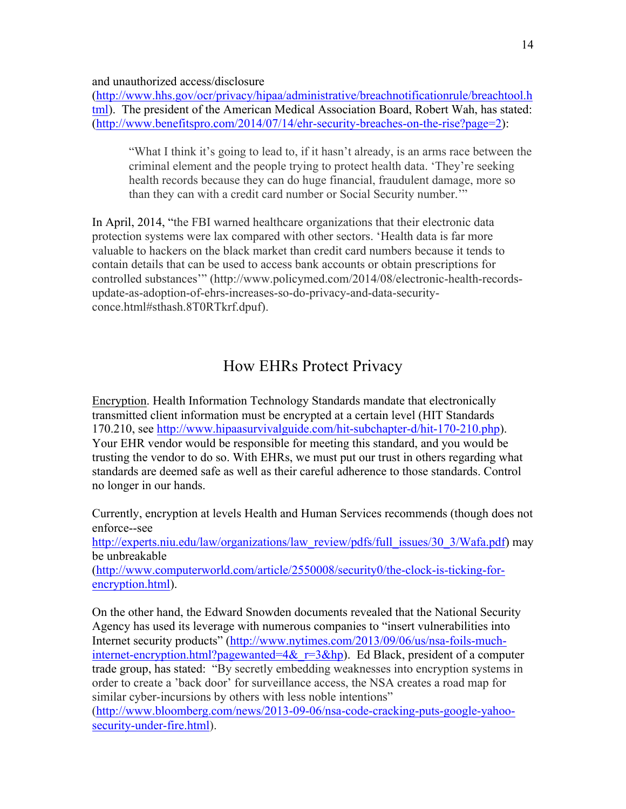and unauthorized access/disclosure

(http://www.hhs.gov/ocr/privacy/hipaa/administrative/breachnotificationrule/breachtool.h tml). The president of the American Medical Association Board, Robert Wah, has stated: (http://www.benefitspro.com/2014/07/14/ehr-security-breaches-on-the-rise?page=2):

"What I think it's going to lead to, if it hasn't already, is an arms race between the criminal element and the people trying to protect health data. 'They're seeking health records because they can do huge financial, fraudulent damage, more so than they can with a credit card number or Social Security number.'"

In April, 2014, "the FBI warned healthcare organizations that their electronic data protection systems were lax compared with other sectors. 'Health data is far more valuable to hackers on the black market than credit card numbers because it tends to contain details that can be used to access bank accounts or obtain prescriptions for controlled substances'" (http://www.policymed.com/2014/08/electronic-health-recordsupdate-as-adoption-of-ehrs-increases-so-do-privacy-and-data-securityconce.html#sthash.8T0RTkrf.dpuf).

## How EHRs Protect Privacy

Encryption. Health Information Technology Standards mandate that electronically transmitted client information must be encrypted at a certain level (HIT Standards 170.210, see http://www.hipaasurvivalguide.com/hit-subchapter-d/hit-170-210.php). Your EHR vendor would be responsible for meeting this standard, and you would be trusting the vendor to do so. With EHRs, we must put our trust in others regarding what standards are deemed safe as well as their careful adherence to those standards. Control no longer in our hands.

Currently, encryption at levels Health and Human Services recommends (though does not enforce--see http://experts.niu.edu/law/organizations/law\_review/pdfs/full\_issues/30\_3/Wafa.pdf) may be unbreakable (http://www.computerworld.com/article/2550008/security0/the-clock-is-ticking-forencryption.html).

On the other hand, the Edward Snowden documents revealed that the National Security Agency has used its leverage with numerous companies to "insert vulnerabilities into Internet security products" (http://www.nytimes.com/2013/09/06/us/nsa-foils-muchinternet-encryption.html?pagewanted=4& $r=3$ &hp). Ed Black, president of a computer trade group, has stated: "By secretly embedding weaknesses into encryption systems in order to create a 'back door' for surveillance access, the NSA creates a road map for similar cyber-incursions by others with less noble intentions"

(http://www.bloomberg.com/news/2013-09-06/nsa-code-cracking-puts-google-yahoosecurity-under-fire.html).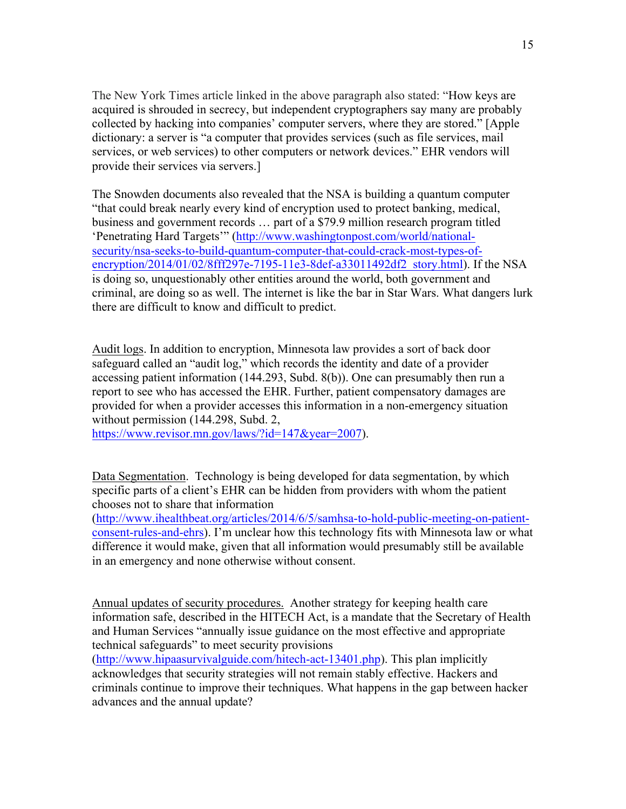The New York Times article linked in the above paragraph also stated: "How keys are acquired is shrouded in secrecy, but independent cryptographers say many are probably collected by hacking into companies' computer servers, where they are stored." [Apple dictionary: a server is "a computer that provides services (such as file services, mail services, or web services) to other computers or network devices." EHR vendors will provide their services via servers.]

The Snowden documents also revealed that the NSA is building a quantum computer "that could break nearly every kind of encryption used to protect banking, medical, business and government records … part of a \$79.9 million research program titled 'Penetrating Hard Targets'" (http://www.washingtonpost.com/world/nationalsecurity/nsa-seeks-to-build-quantum-computer-that-could-crack-most-types-ofencryption/2014/01/02/8fff297e-7195-11e3-8def-a33011492df2\_story.html). If the NSA is doing so, unquestionably other entities around the world, both government and criminal, are doing so as well. The internet is like the bar in Star Wars. What dangers lurk there are difficult to know and difficult to predict.

Audit logs. In addition to encryption, Minnesota law provides a sort of back door safeguard called an "audit log," which records the identity and date of a provider accessing patient information (144.293, Subd. 8(b)). One can presumably then run a report to see who has accessed the EHR. Further, patient compensatory damages are provided for when a provider accesses this information in a non-emergency situation without permission (144.298, Subd. 2,

https://www.revisor.mn.gov/laws/?id=147&year=2007).

Data Segmentation. Technology is being developed for data segmentation, by which specific parts of a client's EHR can be hidden from providers with whom the patient chooses not to share that information

(http://www.ihealthbeat.org/articles/2014/6/5/samhsa-to-hold-public-meeting-on-patientconsent-rules-and-ehrs). I'm unclear how this technology fits with Minnesota law or what difference it would make, given that all information would presumably still be available in an emergency and none otherwise without consent.

Annual updates of security procedures. Another strategy for keeping health care information safe, described in the HITECH Act, is a mandate that the Secretary of Health and Human Services "annually issue guidance on the most effective and appropriate technical safeguards" to meet security provisions

(http://www.hipaasurvivalguide.com/hitech-act-13401.php). This plan implicitly acknowledges that security strategies will not remain stably effective. Hackers and criminals continue to improve their techniques. What happens in the gap between hacker advances and the annual update?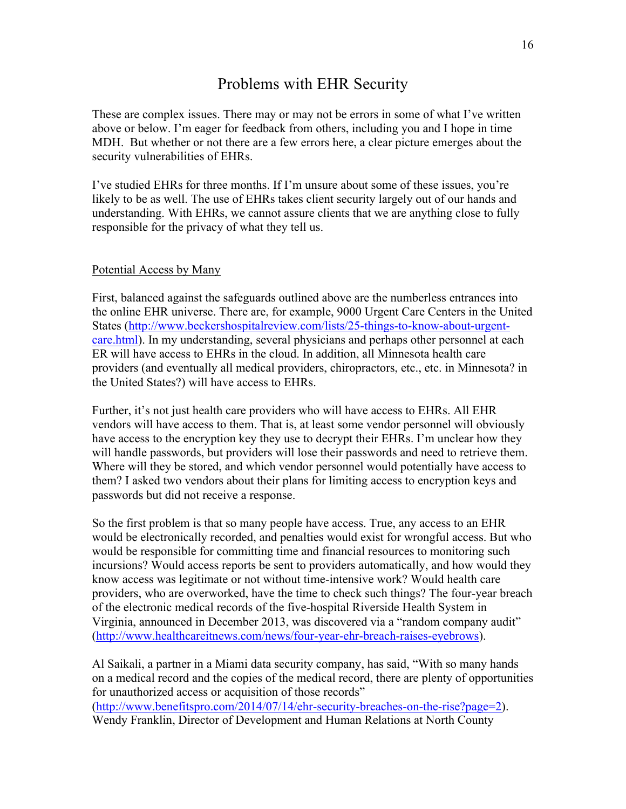## Problems with EHR Security

These are complex issues. There may or may not be errors in some of what I've written above or below. I'm eager for feedback from others, including you and I hope in time MDH. But whether or not there are a few errors here, a clear picture emerges about the security vulnerabilities of EHRs.

I've studied EHRs for three months. If I'm unsure about some of these issues, you're likely to be as well. The use of EHRs takes client security largely out of our hands and understanding. With EHRs, we cannot assure clients that we are anything close to fully responsible for the privacy of what they tell us.

#### Potential Access by Many

First, balanced against the safeguards outlined above are the numberless entrances into the online EHR universe. There are, for example, 9000 Urgent Care Centers in the United States (http://www.beckershospitalreview.com/lists/25-things-to-know-about-urgentcare.html). In my understanding, several physicians and perhaps other personnel at each ER will have access to EHRs in the cloud. In addition, all Minnesota health care providers (and eventually all medical providers, chiropractors, etc., etc. in Minnesota? in the United States?) will have access to EHRs.

Further, it's not just health care providers who will have access to EHRs. All EHR vendors will have access to them. That is, at least some vendor personnel will obviously have access to the encryption key they use to decrypt their EHRs. I'm unclear how they will handle passwords, but providers will lose their passwords and need to retrieve them. Where will they be stored, and which vendor personnel would potentially have access to them? I asked two vendors about their plans for limiting access to encryption keys and passwords but did not receive a response.

So the first problem is that so many people have access. True, any access to an EHR would be electronically recorded, and penalties would exist for wrongful access. But who would be responsible for committing time and financial resources to monitoring such incursions? Would access reports be sent to providers automatically, and how would they know access was legitimate or not without time-intensive work? Would health care providers, who are overworked, have the time to check such things? The four-year breach of the electronic medical records of the five-hospital Riverside Health System in Virginia, announced in December 2013, was discovered via a "random company audit" (http://www.healthcareitnews.com/news/four-year-ehr-breach-raises-eyebrows).

Al Saikali, a partner in a Miami data security company, has said, "With so many hands on a medical record and the copies of the medical record, there are plenty of opportunities for unauthorized access or acquisition of those records" (http://www.benefitspro.com/2014/07/14/ehr-security-breaches-on-the-rise?page=2). Wendy Franklin, Director of Development and Human Relations at North County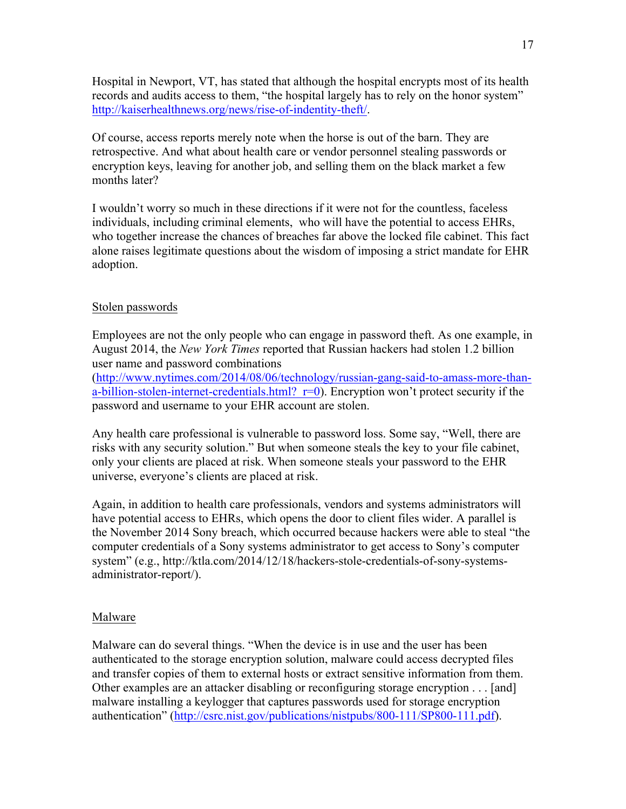Hospital in Newport, VT, has stated that although the hospital encrypts most of its health records and audits access to them, "the hospital largely has to rely on the honor system" http://kaiserhealthnews.org/news/rise-of-indentity-theft/.

Of course, access reports merely note when the horse is out of the barn. They are retrospective. And what about health care or vendor personnel stealing passwords or encryption keys, leaving for another job, and selling them on the black market a few months later?

I wouldn't worry so much in these directions if it were not for the countless, faceless individuals, including criminal elements, who will have the potential to access EHRs, who together increase the chances of breaches far above the locked file cabinet. This fact alone raises legitimate questions about the wisdom of imposing a strict mandate for EHR adoption.

#### Stolen passwords

Employees are not the only people who can engage in password theft. As one example, in August 2014, the *New York Times* reported that Russian hackers had stolen 1.2 billion user name and password combinations

(http://www.nytimes.com/2014/08/06/technology/russian-gang-said-to-amass-more-thana-billion-stolen-internet-credentials.html?  $r=0$ ). Encryption won't protect security if the password and username to your EHR account are stolen.

Any health care professional is vulnerable to password loss. Some say, "Well, there are risks with any security solution." But when someone steals the key to your file cabinet, only your clients are placed at risk. When someone steals your password to the EHR universe, everyone's clients are placed at risk.

Again, in addition to health care professionals, vendors and systems administrators will have potential access to EHRs, which opens the door to client files wider. A parallel is the November 2014 Sony breach, which occurred because hackers were able to steal "the computer credentials of a Sony systems administrator to get access to Sony's computer system" (e.g., http://ktla.com/2014/12/18/hackers-stole-credentials-of-sony-systemsadministrator-report/).

#### Malware

Malware can do several things. "When the device is in use and the user has been authenticated to the storage encryption solution, malware could access decrypted files and transfer copies of them to external hosts or extract sensitive information from them. Other examples are an attacker disabling or reconfiguring storage encryption . . . [and] malware installing a keylogger that captures passwords used for storage encryption authentication" (http://csrc.nist.gov/publications/nistpubs/800-111/SP800-111.pdf).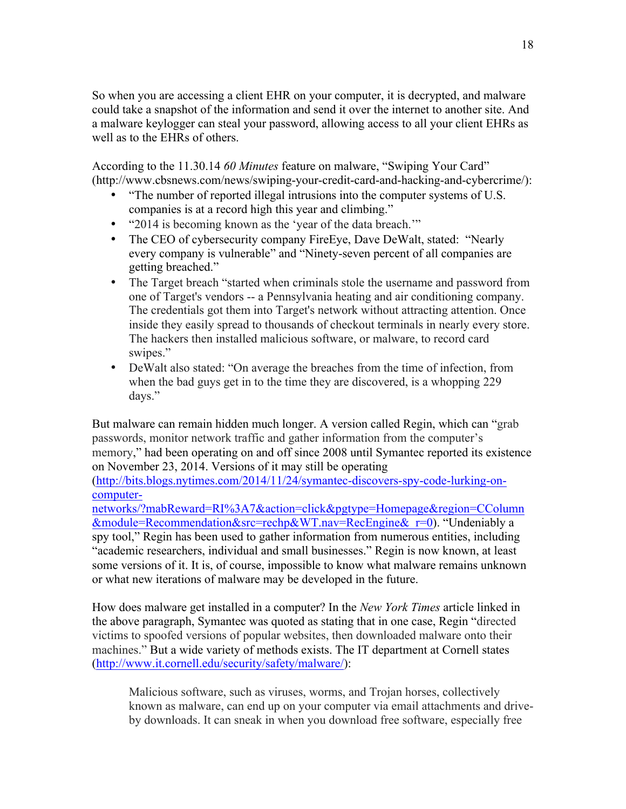So when you are accessing a client EHR on your computer, it is decrypted, and malware could take a snapshot of the information and send it over the internet to another site. And a malware keylogger can steal your password, allowing access to all your client EHRs as well as to the EHRs of others.

According to the 11.30.14 *60 Minutes* feature on malware, "Swiping Your Card" (http://www.cbsnews.com/news/swiping-your-credit-card-and-hacking-and-cybercrime/):

- "The number of reported illegal intrusions into the computer systems of U.S. companies is at a record high this year and climbing."
- "2014 is becoming known as the 'year of the data breach.'"
- The CEO of cybersecurity company FireEye, Dave DeWalt, stated: "Nearly" every company is vulnerable" and "Ninety-seven percent of all companies are getting breached."
- The Target breach "started when criminals stole the username and password from one of Target's vendors -- a Pennsylvania heating and air conditioning company. The credentials got them into Target's network without attracting attention. Once inside they easily spread to thousands of checkout terminals in nearly every store. The hackers then installed malicious software, or malware, to record card swipes."
- DeWalt also stated: "On average the breaches from the time of infection, from when the bad guys get in to the time they are discovered, is a whopping 229 days."

But malware can remain hidden much longer. A version called Regin, which can "grab passwords, monitor network traffic and gather information from the computer's memory," had been operating on and off since 2008 until Symantec reported its existence on November 23, 2014. Versions of it may still be operating

(http://bits.blogs.nytimes.com/2014/11/24/symantec-discovers-spy-code-lurking-oncomputer-

networks/?mabReward=RI%3A7&action=click&pgtype=Homepage&region=CColumn &module=Recommendation&src=rechp&WT.nav=RecEngine&\_r=0). "Undeniably a spy tool," Regin has been used to gather information from numerous entities, including "academic researchers, individual and small businesses." Regin is now known, at least some versions of it. It is, of course, impossible to know what malware remains unknown or what new iterations of malware may be developed in the future.

How does malware get installed in a computer? In the *New York Times* article linked in the above paragraph, Symantec was quoted as stating that in one case, Regin "directed victims to spoofed versions of popular websites, then downloaded malware onto their machines." But a wide variety of methods exists. The IT department at Cornell states (http://www.it.cornell.edu/security/safety/malware/):

Malicious software, such as viruses, worms, and Trojan horses, collectively known as malware, can end up on your computer via email attachments and driveby downloads. It can sneak in when you download free software, especially free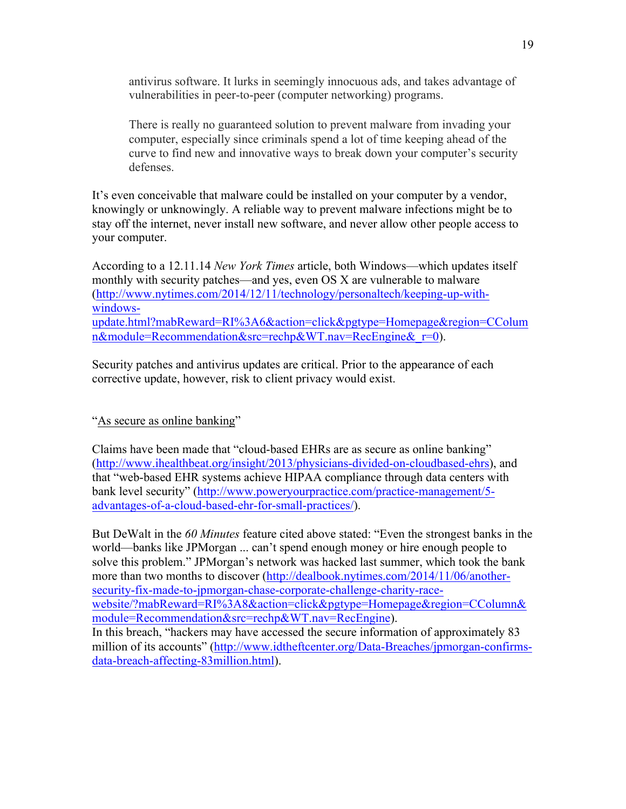antivirus software. It lurks in seemingly innocuous ads, and takes advantage of vulnerabilities in peer-to-peer (computer networking) programs.

There is really no guaranteed solution to prevent malware from invading your computer, especially since criminals spend a lot of time keeping ahead of the curve to find new and innovative ways to break down your computer's security defenses.

It's even conceivable that malware could be installed on your computer by a vendor, knowingly or unknowingly. A reliable way to prevent malware infections might be to stay off the internet, never install new software, and never allow other people access to your computer.

According to a 12.11.14 *New York Times* article, both Windows—which updates itself monthly with security patches—and yes, even OS X are vulnerable to malware (http://www.nytimes.com/2014/12/11/technology/personaltech/keeping-up-withwindowsupdate.html?mabReward=RI%3A6&action=click&pgtype=Homepage&region=CColum n&module=Recommendation&src=rechp&WT.nav=RecEngine&\_r=0).

Security patches and antivirus updates are critical. Prior to the appearance of each corrective update, however, risk to client privacy would exist.

"As secure as online banking"

Claims have been made that "cloud-based EHRs are as secure as online banking" (http://www.ihealthbeat.org/insight/2013/physicians-divided-on-cloudbased-ehrs), and that "web-based EHR systems achieve HIPAA compliance through data centers with bank level security" (http://www.poweryourpractice.com/practice-management/5 advantages-of-a-cloud-based-ehr-for-small-practices/).

But DeWalt in the *60 Minutes* feature cited above stated: "Even the strongest banks in the world—banks like JPMorgan ... can't spend enough money or hire enough people to solve this problem." JPMorgan's network was hacked last summer, which took the bank more than two months to discover (http://dealbook.nytimes.com/2014/11/06/anothersecurity-fix-made-to-jpmorgan-chase-corporate-challenge-charity-racewebsite/?mabReward=RI%3A8&action=click&pgtype=Homepage&region=CColumn& module=Recommendation&src=rechp&WT.nav=RecEngine). In this breach, "hackers may have accessed the secure information of approximately 83 million of its accounts" (http://www.idtheftcenter.org/Data-Breaches/jpmorgan-confirmsdata-breach-affecting-83million.html).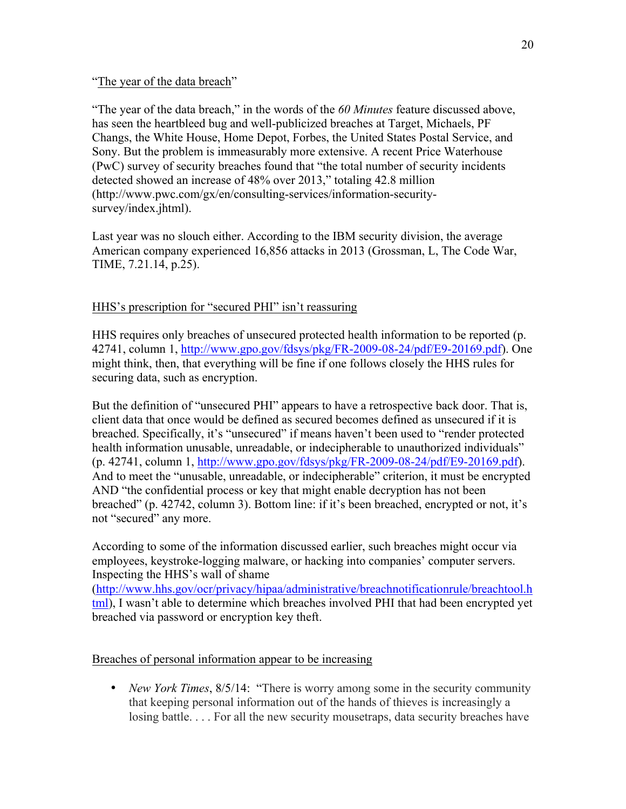#### "The year of the data breach"

"The year of the data breach," in the words of the *60 Minutes* feature discussed above, has seen the heartbleed bug and well-publicized breaches at Target, Michaels, PF Changs, the White House, Home Depot, Forbes, the United States Postal Service, and Sony. But the problem is immeasurably more extensive. A recent Price Waterhouse (PwC) survey of security breaches found that "the total number of security incidents detected showed an increase of 48% over 2013," totaling 42.8 million (http://www.pwc.com/gx/en/consulting-services/information-securitysurvey/index.jhtml).

Last year was no slouch either. According to the IBM security division, the average American company experienced 16,856 attacks in 2013 (Grossman, L, The Code War, TIME, 7.21.14, p.25).

#### HHS's prescription for "secured PHI" isn't reassuring

HHS requires only breaches of unsecured protected health information to be reported (p. 42741, column 1, http://www.gpo.gov/fdsys/pkg/FR-2009-08-24/pdf/E9-20169.pdf). One might think, then, that everything will be fine if one follows closely the HHS rules for securing data, such as encryption.

But the definition of "unsecured PHI" appears to have a retrospective back door. That is, client data that once would be defined as secured becomes defined as unsecured if it is breached. Specifically, it's "unsecured" if means haven't been used to "render protected health information unusable, unreadable, or indecipherable to unauthorized individuals" (p. 42741, column 1, http://www.gpo.gov/fdsys/pkg/FR-2009-08-24/pdf/E9-20169.pdf). And to meet the "unusable, unreadable, or indecipherable" criterion, it must be encrypted AND "the confidential process or key that might enable decryption has not been breached" (p. 42742, column 3). Bottom line: if it's been breached, encrypted or not, it's not "secured" any more.

According to some of the information discussed earlier, such breaches might occur via employees, keystroke-logging malware, or hacking into companies' computer servers. Inspecting the HHS's wall of shame

(http://www.hhs.gov/ocr/privacy/hipaa/administrative/breachnotificationrule/breachtool.h tml), I wasn't able to determine which breaches involved PHI that had been encrypted yet breached via password or encryption key theft.

#### Breaches of personal information appear to be increasing

• *New York Times*, 8/5/14: "There is worry among some in the security community that keeping personal information out of the hands of thieves is increasingly a losing battle. . . . For all the new security mousetraps, data security breaches have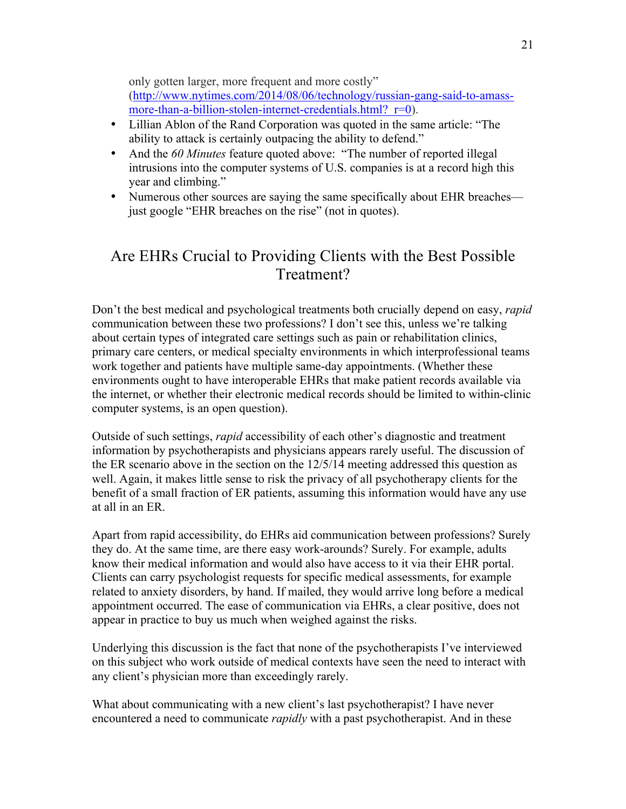only gotten larger, more frequent and more costly"

(http://www.nytimes.com/2014/08/06/technology/russian-gang-said-to-amassmore-than-a-billion-stolen-internet-credentials.html? $r=0$ ).

- Lillian Ablon of the Rand Corporation was quoted in the same article: "The ability to attack is certainly outpacing the ability to defend."
- And the *60 Minutes* feature quoted above: "The number of reported illegal intrusions into the computer systems of U.S. companies is at a record high this year and climbing."
- Numerous other sources are saying the same specifically about EHR breaches just google "EHR breaches on the rise" (not in quotes).

## Are EHRs Crucial to Providing Clients with the Best Possible Treatment?

Don't the best medical and psychological treatments both crucially depend on easy, *rapid* communication between these two professions? I don't see this, unless we're talking about certain types of integrated care settings such as pain or rehabilitation clinics, primary care centers, or medical specialty environments in which interprofessional teams work together and patients have multiple same-day appointments. (Whether these environments ought to have interoperable EHRs that make patient records available via the internet, or whether their electronic medical records should be limited to within-clinic computer systems, is an open question).

Outside of such settings, *rapid* accessibility of each other's diagnostic and treatment information by psychotherapists and physicians appears rarely useful. The discussion of the ER scenario above in the section on the 12/5/14 meeting addressed this question as well. Again, it makes little sense to risk the privacy of all psychotherapy clients for the benefit of a small fraction of ER patients, assuming this information would have any use at all in an ER.

Apart from rapid accessibility, do EHRs aid communication between professions? Surely they do. At the same time, are there easy work-arounds? Surely. For example, adults know their medical information and would also have access to it via their EHR portal. Clients can carry psychologist requests for specific medical assessments, for example related to anxiety disorders, by hand. If mailed, they would arrive long before a medical appointment occurred. The ease of communication via EHRs, a clear positive, does not appear in practice to buy us much when weighed against the risks.

Underlying this discussion is the fact that none of the psychotherapists I've interviewed on this subject who work outside of medical contexts have seen the need to interact with any client's physician more than exceedingly rarely.

What about communicating with a new client's last psychotherapist? I have never encountered a need to communicate *rapidly* with a past psychotherapist. And in these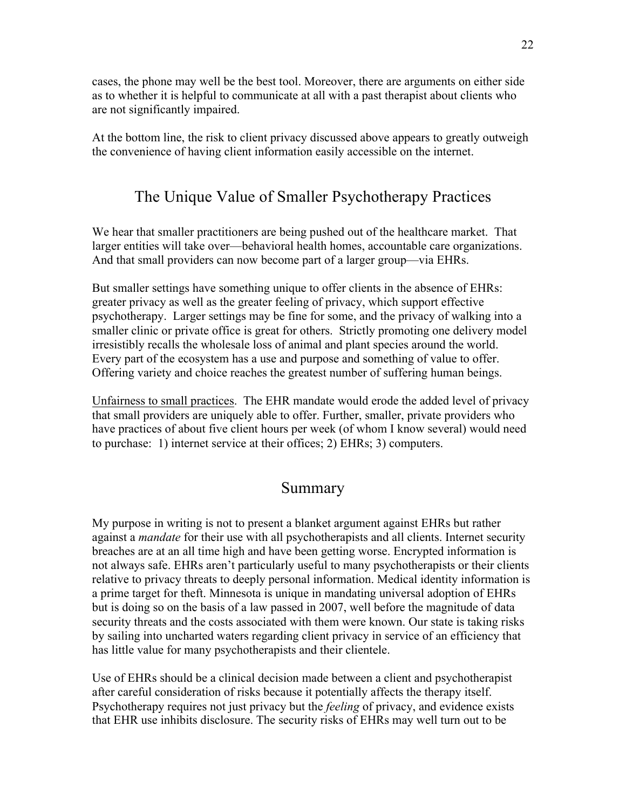cases, the phone may well be the best tool. Moreover, there are arguments on either side as to whether it is helpful to communicate at all with a past therapist about clients who are not significantly impaired.

At the bottom line, the risk to client privacy discussed above appears to greatly outweigh the convenience of having client information easily accessible on the internet.

## The Unique Value of Smaller Psychotherapy Practices

We hear that smaller practitioners are being pushed out of the healthcare market. That larger entities will take over—behavioral health homes, accountable care organizations. And that small providers can now become part of a larger group—via EHRs.

But smaller settings have something unique to offer clients in the absence of EHRs: greater privacy as well as the greater feeling of privacy, which support effective psychotherapy. Larger settings may be fine for some, and the privacy of walking into a smaller clinic or private office is great for others. Strictly promoting one delivery model irresistibly recalls the wholesale loss of animal and plant species around the world. Every part of the ecosystem has a use and purpose and something of value to offer. Offering variety and choice reaches the greatest number of suffering human beings.

Unfairness to small practices. The EHR mandate would erode the added level of privacy that small providers are uniquely able to offer. Further, smaller, private providers who have practices of about five client hours per week (of whom I know several) would need to purchase: 1) internet service at their offices; 2) EHRs; 3) computers.

### Summary

My purpose in writing is not to present a blanket argument against EHRs but rather against a *mandate* for their use with all psychotherapists and all clients. Internet security breaches are at an all time high and have been getting worse. Encrypted information is not always safe. EHRs aren't particularly useful to many psychotherapists or their clients relative to privacy threats to deeply personal information. Medical identity information is a prime target for theft. Minnesota is unique in mandating universal adoption of EHRs but is doing so on the basis of a law passed in 2007, well before the magnitude of data security threats and the costs associated with them were known. Our state is taking risks by sailing into uncharted waters regarding client privacy in service of an efficiency that has little value for many psychotherapists and their clientele.

Use of EHRs should be a clinical decision made between a client and psychotherapist after careful consideration of risks because it potentially affects the therapy itself. Psychotherapy requires not just privacy but the *feeling* of privacy, and evidence exists that EHR use inhibits disclosure. The security risks of EHRs may well turn out to be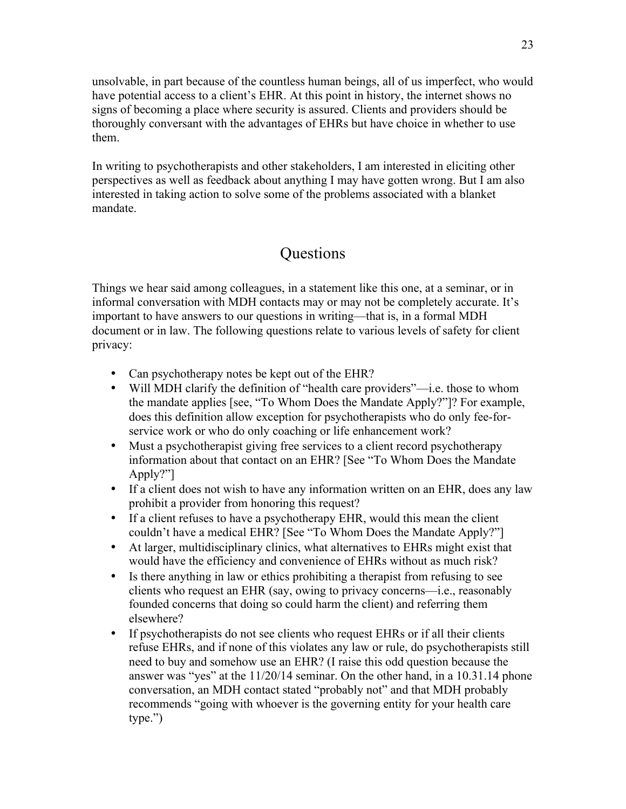unsolvable, in part because of the countless human beings, all of us imperfect, who would have potential access to a client's EHR. At this point in history, the internet shows no signs of becoming a place where security is assured. Clients and providers should be thoroughly conversant with the advantages of EHRs but have choice in whether to use them.

In writing to psychotherapists and other stakeholders, I am interested in eliciting other perspectives as well as feedback about anything I may have gotten wrong. But I am also interested in taking action to solve some of the problems associated with a blanket mandate.

## **Ouestions**

Things we hear said among colleagues, in a statement like this one, at a seminar, or in informal conversation with MDH contacts may or may not be completely accurate. It's important to have answers to our questions in writing—that is, in a formal MDH document or in law. The following questions relate to various levels of safety for client privacy:

- Can psychotherapy notes be kept out of the EHR?
- Will MDH clarify the definition of "health care providers"—i.e. those to whom the mandate applies [see, "To Whom Does the Mandate Apply?"]? For example, does this definition allow exception for psychotherapists who do only fee-forservice work or who do only coaching or life enhancement work?
- Must a psychotherapist giving free services to a client record psychotherapy information about that contact on an EHR? [See "To Whom Does the Mandate Apply?"]
- If a client does not wish to have any information written on an EHR, does any law prohibit a provider from honoring this request?
- If a client refuses to have a psychotherapy EHR, would this mean the client couldn't have a medical EHR? [See "To Whom Does the Mandate Apply?"]
- At larger, multidisciplinary clinics, what alternatives to EHRs might exist that would have the efficiency and convenience of EHRs without as much risk?
- Is there anything in law or ethics prohibiting a therapist from refusing to see clients who request an EHR (say, owing to privacy concerns—i.e., reasonably founded concerns that doing so could harm the client) and referring them elsewhere?
- If psychotherapists do not see clients who request EHRs or if all their clients refuse EHRs, and if none of this violates any law or rule, do psychotherapists still need to buy and somehow use an EHR? (I raise this odd question because the answer was "yes" at the 11/20/14 seminar. On the other hand, in a 10.31.14 phone conversation, an MDH contact stated "probably not" and that MDH probably recommends "going with whoever is the governing entity for your health care type.")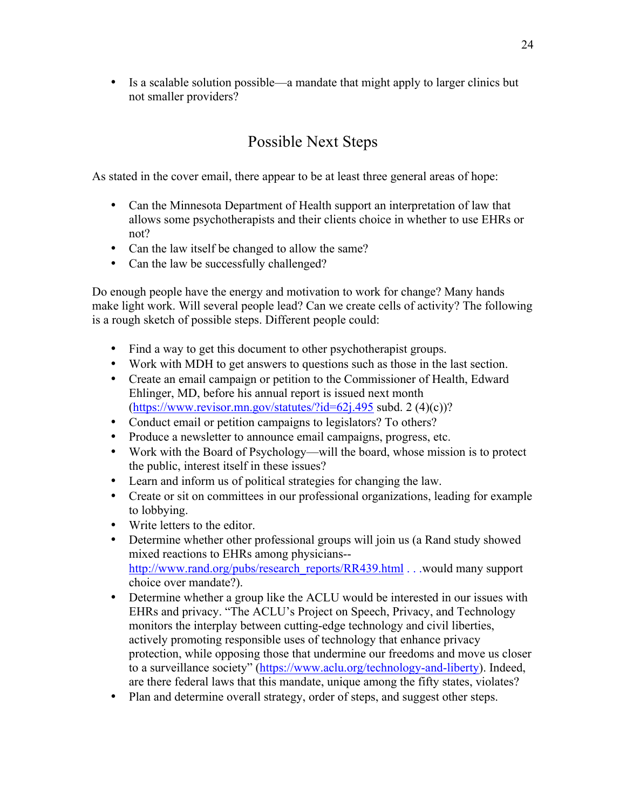• Is a scalable solution possible—a mandate that might apply to larger clinics but not smaller providers?

## Possible Next Steps

As stated in the cover email, there appear to be at least three general areas of hope:

- Can the Minnesota Department of Health support an interpretation of law that allows some psychotherapists and their clients choice in whether to use EHRs or not?
- Can the law itself be changed to allow the same?
- Can the law be successfully challenged?

Do enough people have the energy and motivation to work for change? Many hands make light work. Will several people lead? Can we create cells of activity? The following is a rough sketch of possible steps. Different people could:

- Find a way to get this document to other psychotherapist groups.
- Work with MDH to get answers to questions such as those in the last section.
- Create an email campaign or petition to the Commissioner of Health, Edward Ehlinger, MD, before his annual report is issued next month  $(\text{https://www.revisor.mn.gov/stattites}/\text{id}=62j.495 \text{ subd. } 2 (4)(c))$ ?
- Conduct email or petition campaigns to legislators? To others?
- Produce a newsletter to announce email campaigns, progress, etc.
- Work with the Board of Psychology—will the board, whose mission is to protect the public, interest itself in these issues?
- Learn and inform us of political strategies for changing the law.
- Create or sit on committees in our professional organizations, leading for example to lobbying.
- Write letters to the editor.
- Determine whether other professional groups will join us (a Rand study showed mixed reactions to EHRs among physicians- http://www.rand.org/pubs/research\_reports/RR439.html . . .would many support choice over mandate?).
- Determine whether a group like the ACLU would be interested in our issues with EHRs and privacy. "The ACLU's Project on Speech, Privacy, and Technology monitors the interplay between cutting-edge technology and civil liberties, actively promoting responsible uses of technology that enhance privacy protection, while opposing those that undermine our freedoms and move us closer to a surveillance society" (https://www.aclu.org/technology-and-liberty). Indeed, are there federal laws that this mandate, unique among the fifty states, violates?
- Plan and determine overall strategy, order of steps, and suggest other steps.